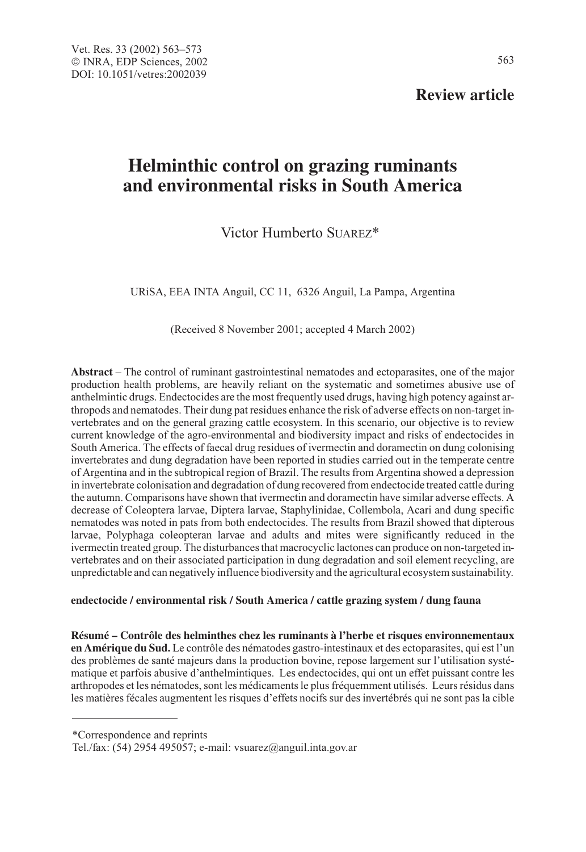# **Review article**

# **Helminthic control on grazing ruminants and environmental risks in South America**

# Victor Humberto SUAREZ\*

URiSA, EEA INTA Anguil, CC 11, 6326 Anguil, La Pampa, Argentina

(Received 8 November 2001; accepted 4 March 2002)

**Abstract** – The control of ruminant gastrointestinal nematodes and ectoparasites, one of the major production health problems, are heavily reliant on the systematic and sometimes abusive use of anthelmintic drugs. Endectocides are the most frequently used drugs, having high potency against arthropods and nematodes. Their dung pat residues enhance the risk of adverse effects on non-target invertebrates and on the general grazing cattle ecosystem. In this scenario, our objective is to review current knowledge of the agro-environmental and biodiversity impact and risks of endectocides in South America. The effects of faecal drug residues of ivermectin and doramectin on dung colonising invertebrates and dung degradation have been reported in studies carried out in the temperate centre of Argentina and in the subtropical region of Brazil. The results from Argentina showed a depression in invertebrate colonisation and degradation of dung recovered from endectocide treated cattle during the autumn. Comparisons have shown that ivermectin and doramectin have similar adverse effects. A decrease of Coleoptera larvae, Diptera larvae, Staphylinidae, Collembola, Acari and dung specific nematodes was noted in pats from both endectocides. The results from Brazil showed that dipterous larvae, Polyphaga coleopteran larvae and adults and mites were significantly reduced in the ivermectin treated group. The disturbances that macrocyclic lactones can produce on non-targeted invertebrates and on their associated participation in dung degradation and soil element recycling, are unpredictable and can negatively influence biodiversity and the agricultural ecosystem sustainability.

#### **endectocide / environmental risk / South America / cattle grazing system / dung fauna**

**Résumé – Contrôle des helminthes chez les ruminants à l'herbe et risques environnementaux en Amérique du Sud.** Le contrôle des nématodes gastro-intestinaux et des ectoparasites, qui est l'un des problèmes de santé majeurs dans la production bovine, repose largement sur l'utilisation systématique et parfois abusive d'anthelmintiques. Les endectocides, qui ont un effet puissant contre les arthropodes et les nématodes, sont les médicaments le plus fréquemment utilisés. Leurs résidus dans les matières fécales augmentent les risques d'effets nocifs sur des invertébrés qui ne sont pas la cible

<sup>\*</sup>Correspondence and reprints

Tel./fax: (54) 2954 495057; e-mail: vsuarez@anguil.inta.gov.ar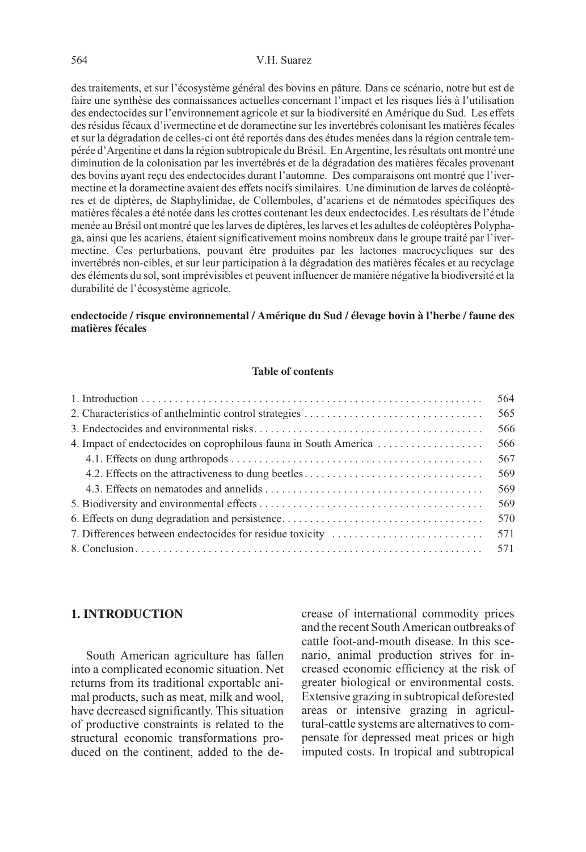#### 564 V.H. Suarez

des traitements, et sur l'écosystème général des bovins en pâture. Dans ce scénario, notre but est de faire une synthèse des connaissances actuelles concernant l'impact et les risques liés à l'utilisation des endectocides sur l'environnement agricole et sur la biodiversité en Amérique du Sud. Les effets des résidus fécaux d'ivermectine et de doramectine sur les invertébrés colonisant les matières fécales et sur la dégradation de celles-ci ont été reportés dans des études menées dans la région centrale tempérée d'Argentine et dans la région subtropicale du Brésil. En Argentine, les résultats ont montré une diminution de la colonisation par les invertébrés et de la dégradation des matières fécales provenant des bovins ayant reçu des endectocides durant l'automne. Des comparaisons ont montré que l'ivermectine et la doramectine avaient des effets nocifs similaires. Une diminution de larves de coléoptères et de diptères, de Staphylinidae, de Collemboles, d'acariens et de nématodes spécifiques des matières fécales a été notée dans les crottes contenant les deux endectocides. Les résultats de l'étude menée au Brésil ont montré que les larves de diptères, les larves et les adultes de coléoptères Polyphaga, ainsi que les acariens, étaient significativement moins nombreux dans le groupe traité par l'ivermectine. Ces perturbations, pouvant être produites par les lactones macrocycliques sur des invertébrés non-cibles, et sur leur participation à la dégradation des matières fécales et au recyclage des éléments du sol, sont imprévisibles et peuvent influencer de manière négative la biodiversité et la durabilité de l'écosystème agricole.

# **endectocide / risque environnemental / Amérique du Sud / élevage bovin à l'herbe / faune des matières fécales**

# **Table of contents**

|                                                                  | 564 |
|------------------------------------------------------------------|-----|
|                                                                  | 565 |
|                                                                  | 566 |
| 4. Impact of endectocides on coprophilous fauna in South America | 566 |
|                                                                  | 567 |
|                                                                  | 569 |
|                                                                  | 569 |
|                                                                  | 569 |
|                                                                  | 570 |
| 7. Differences between endectocides for residue toxicity         | 571 |
|                                                                  |     |

# **1. INTRODUCTION**

South American agriculture has fallen into a complicated economic situation. Net returns from its traditional exportable animal products, such as meat, milk and wool, have decreased significantly. This situation of productive constraints is related to the structural economic transformations produced on the continent, added to the decrease of international commodity prices and the recent South American outbreaks of cattle foot-and-mouth disease. In this scenario, animal production strives for increased economic efficiency at the risk of greater biological or environmental costs. Extensive grazing in subtropical deforested areas or intensive grazing in agricultural-cattle systems are alternatives to compensate for depressed meat prices or high imputed costs. In tropical and subtropical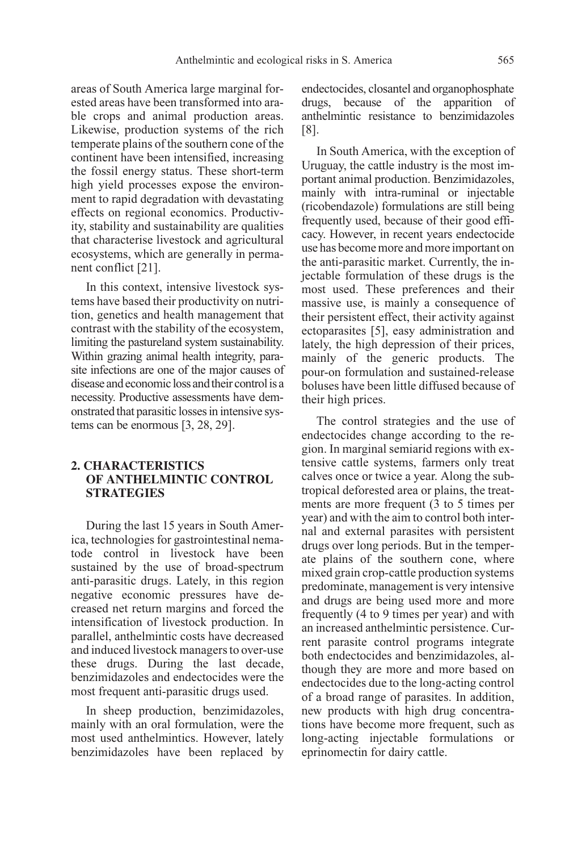areas of South America large marginal forested areas have been transformed into arable crops and animal production areas. Likewise, production systems of the rich temperate plains of the southern cone of the continent have been intensified, increasing the fossil energy status. These short-term high yield processes expose the environment to rapid degradation with devastating effects on regional economics. Productivity, stability and sustainability are qualities that characterise livestock and agricultural ecosystems, which are generally in permanent conflict [21].

In this context, intensive livestock systems have based their productivity on nutrition, genetics and health management that contrast with the stability of the ecosystem, limiting the pastureland system sustainability. Within grazing animal health integrity, parasite infections are one of the major causes of diseaseandeconomiclossandtheircontrolisa necessity. Productive assessments have demonstrated that parasitic losses in intensive systems can be enormous [3, 28, 29].

# **2. CHARACTERISTICS OF ANTHELMINTIC CONTROL STRATEGIES**

During the last 15 years in South America, technologies for gastrointestinal nematode control in livestock have been sustained by the use of broad-spectrum anti-parasitic drugs. Lately, in this region negative economic pressures have decreased net return margins and forced the intensification of livestock production. In parallel, anthelmintic costs have decreased and induced livestock managers to over-use these drugs. During the last decade, benzimidazoles and endectocides were the most frequent anti-parasitic drugs used.

In sheep production, benzimidazoles, mainly with an oral formulation, were the most used anthelmintics. However, lately benzimidazoles have been replaced by endectocides, closantel and organophosphate drugs, because of the apparition of anthelmintic resistance to benzimidazoles [8].

In South America, with the exception of Uruguay, the cattle industry is the most important animal production. Benzimidazoles, mainly with intra-ruminal or injectable (ricobendazole) formulations are still being frequently used, because of their good efficacy. However, in recent years endectocide use has become more and more important on the anti-parasitic market. Currently, the injectable formulation of these drugs is the most used. These preferences and their massive use, is mainly a consequence of their persistent effect, their activity against ectoparasites [5], easy administration and lately, the high depression of their prices, mainly of the generic products. The pour-on formulation and sustained-release boluses have been little diffused because of their high prices.

The control strategies and the use of endectocides change according to the region. In marginal semiarid regions with extensive cattle systems, farmers only treat calves once or twice a year. Along the subtropical deforested area or plains, the treatments are more frequent (3 to 5 times per year) and with the aim to control both internal and external parasites with persistent drugs over long periods. But in the temperate plains of the southern cone, where mixed grain crop-cattle production systems predominate, management is very intensive and drugs are being used more and more frequently (4 to 9 times per year) and with an increased anthelmintic persistence. Current parasite control programs integrate both endectocides and benzimidazoles, although they are more and more based on endectocides due to the long-acting control of a broad range of parasites. In addition, new products with high drug concentrations have become more frequent, such as long-acting injectable formulations or eprinomectin for dairy cattle.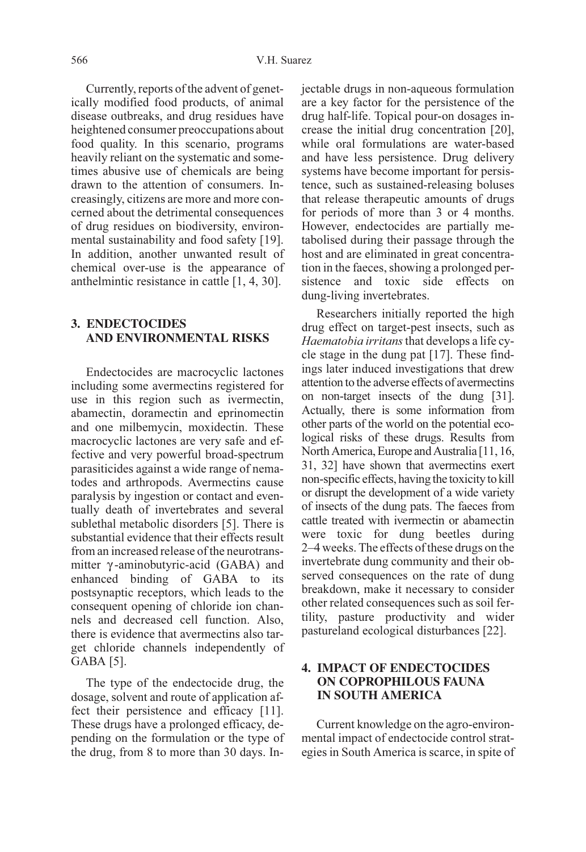Currently, reports of the advent of genetically modified food products, of animal disease outbreaks, and drug residues have heightened consumer preoccupations about food quality. In this scenario, programs heavily reliant on the systematic and sometimes abusive use of chemicals are being drawn to the attention of consumers. Increasingly, citizens are more and more concerned about the detrimental consequences of drug residues on biodiversity, environmental sustainability and food safety [19]. In addition, another unwanted result of chemical over-use is the appearance of anthelmintic resistance in cattle [1, 4, 30].

# **3. ENDECTOCIDES AND ENVIRONMENTAL RISKS**

Endectocides are macrocyclic lactones including some avermectins registered for use in this region such as ivermectin, abamectin, doramectin and eprinomectin and one milbemycin, moxidectin. These macrocyclic lactones are very safe and effective and very powerful broad-spectrum parasiticides against a wide range of nematodes and arthropods. Avermectins cause paralysis by ingestion or contact and eventually death of invertebrates and several sublethal metabolic disorders [5]. There is substantial evidence that their effects result from an increased release of the neurotransmitter γ -aminobutyric-acid (GABA) and enhanced binding of GABA to its postsynaptic receptors, which leads to the consequent opening of chloride ion channels and decreased cell function. Also, there is evidence that avermectins also target chloride channels independently of GABA [5].

The type of the endectocide drug, the dosage, solvent and route of application affect their persistence and efficacy [11]. These drugs have a prolonged efficacy, depending on the formulation or the type of the drug, from 8 to more than 30 days. Injectable drugs in non-aqueous formulation are a key factor for the persistence of the drug half-life. Topical pour-on dosages increase the initial drug concentration [20], while oral formulations are water-based and have less persistence. Drug delivery systems have become important for persistence, such as sustained-releasing boluses that release therapeutic amounts of drugs for periods of more than 3 or 4 months. However, endectocides are partially metabolised during their passage through the host and are eliminated in great concentration in the faeces, showing a prolonged persistence and toxic side effects on dung-living invertebrates.

Researchers initially reported the high drug effect on target-pest insects, such as Haematobia irritans that develops a life cycle stage in the dung pat [17]. These findings later induced investigations that drew attention to the adverse effects of avermectins on non-target insects of the dung [31]. Actually, there is some information from other parts of the world on the potential ecological risks of these drugs. Results from North America, Europe and Australia [11, 16, 31, 32] have shown that avermectins exert non-specific effects, having the toxicity to kill or disrupt the development of a wide variety of insects of the dung pats. The faeces from cattle treated with ivermectin or abamectin were toxic for dung beetles during 2–4 weeks. The effects of these drugs on the invertebrate dung community and their observed consequences on the rate of dung breakdown, make it necessary to consider other related consequences such as soil fertility, pasture productivity and wider pastureland ecological disturbances [22].

# **4. IMPACT OF ENDECTOCIDES ON COPROPHILOUS FAUNA IN SOUTH AMERICA**

Current knowledge on the agro-environmental impact of endectocide control strategies in South America is scarce, in spite of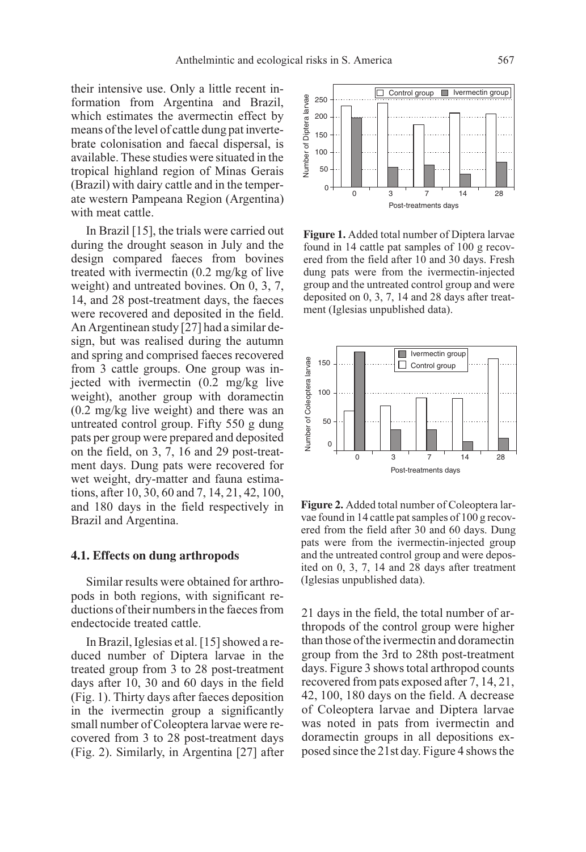their intensive use. Only a little recent information from Argentina and Brazil, which estimates the avermectin effect by means of the level of cattle dung pat invertebrate colonisation and faecal dispersal, is available. These studies were situated in the tropical highland region of Minas Gerais (Brazil) with dairy cattle and in the temperate western Pampeana Region (Argentina) with meat cattle.

In Brazil [15], the trials were carried out during the drought season in July and the design compared faeces from bovines treated with ivermectin (0.2 mg/kg of live weight) and untreated bovines. On 0, 3, 7, 14, and 28 post-treatment days, the faeces were recovered and deposited in the field. An Argentinean study [27] had a similar design, but was realised during the autumn and spring and comprised faeces recovered from 3 cattle groups. One group was injected with ivermectin (0.2 mg/kg live weight), another group with doramectin (0.2 mg/kg live weight) and there was an untreated control group. Fifty 550 g dung pats per group were prepared and deposited on the field, on 3, 7, 16 and 29 post-treatment days. Dung pats were recovered for wet weight, dry-matter and fauna estimations, after 10, 30, 60 and 7, 14, 21, 42, 100, and 180 days in the field respectively in Brazil and Argentina.

#### **4.1. Effects on dung arthropods**

Similar results were obtained for arthropods in both regions, with significant reductions of their numbers in the faeces from endectocide treated cattle.

In Brazil, Iglesias et al. [15] showed a reduced number of Diptera larvae in the treated group from 3 to 28 post-treatment days after 10, 30 and 60 days in the field (Fig. 1). Thirty days after faeces deposition in the ivermectin group a significantly small number of Coleoptera larvae were recovered from 3 to 28 post-treatment days (Fig. 2). Similarly, in Argentina [27] after



**Figure 1.** Added total number of Diptera larvae found in 14 cattle pat samples of 100 g recovered from the field after 10 and 30 days. Fresh dung pats were from the ivermectin-injected group and the untreated control group and were deposited on 0, 3, 7, 14 and 28 days after treatment (Iglesias unpublished data).



**Figure 2.** Added total number of Coleoptera larvae found in 14 cattle pat samples of 100 g recovered from the field after 30 and 60 days. Dung pats were from the ivermectin-injected group and the untreated control group and were deposited on 0, 3, 7, 14 and 28 days after treatment (Iglesias unpublished data).

21 days in the field, the total number of arthropods of the control group were higher than those of the ivermectin and doramectin group from the 3rd to 28th post-treatment days. Figure 3 shows total arthropod counts recovered from pats exposed after 7, 14, 21, 42, 100, 180 days on the field. A decrease of Coleoptera larvae and Diptera larvae was noted in pats from ivermectin and doramectin groups in all depositions exposed since the 21st day. Figure 4 shows the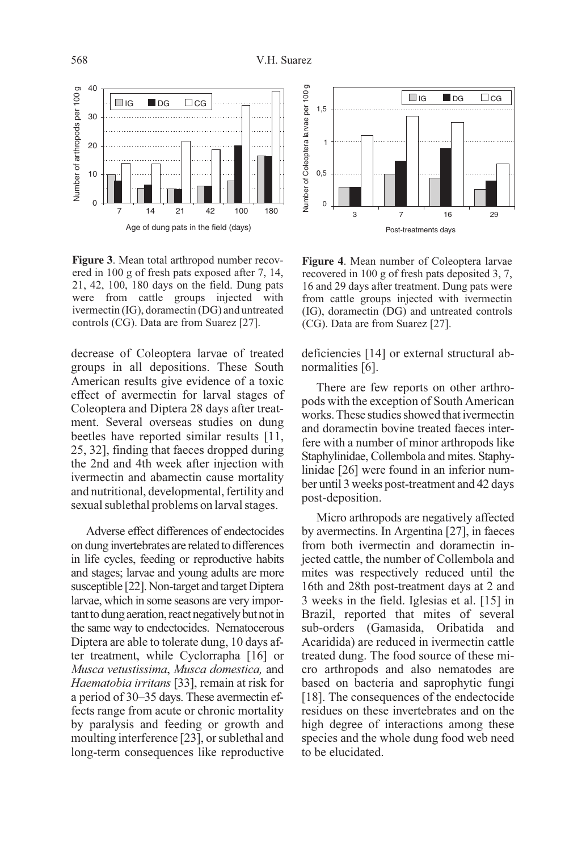

**Figure 3**. Mean total arthropod number recovered in 100 g of fresh pats exposed after 7, 14, 21, 42, 100, 180 days on the field. Dung pats were from cattle groups injected with ivermectin (IG), doramectin (DG) and untreated controls (CG). Data are from Suarez [27].

decrease of Coleoptera larvae of treated groups in all depositions. These South American results give evidence of a toxic effect of avermectin for larval stages of Coleoptera and Diptera 28 days after treatment. Several overseas studies on dung beetles have reported similar results [11, 25, 32], finding that faeces dropped during the 2nd and 4th week after injection with ivermectin and abamectin cause mortality and nutritional, developmental, fertility and sexual sublethal problems on larval stages.

Adverse effect differences of endectocides on dung invertebrates are related to differences in life cycles, feeding or reproductive habits and stages; larvae and young adults are more susceptible [22]. Non-target and target Diptera larvae, which in some seasons are very important to dung aeration, react negatively but not in the same way to endectocides. Nematocerous Diptera are able to tolerate dung, 10 days after treatment, while Cyclorrapha [16] or Musca vetustissima, Musca domestica, and Haematobia irritans [33], remain at risk for a period of 30–35 days. These avermectin effects range from acute or chronic mortality by paralysis and feeding or growth and moulting interference [23], or sublethal and long-term consequences like reproductive



**Figure 4**. Mean number of Coleoptera larvae recovered in 100 g of fresh pats deposited 3, 7, 16 and 29 days after treatment. Dung pats were from cattle groups injected with ivermectin (IG), doramectin (DG) and untreated controls (CG). Data are from Suarez [27].

deficiencies [14] or external structural abnormalities [6].

There are few reports on other arthropods with the exception of South American works. These studies showed that ivermectin and doramectin bovine treated faeces interfere with a number of minor arthropods like Staphylinidae, Collembola and mites. Staphylinidae [26] were found in an inferior number until 3 weeks post-treatment and 42 days post-deposition.

Micro arthropods are negatively affected by avermectins. In Argentina [27], in faeces from both ivermectin and doramectin injected cattle, the number of Collembola and mites was respectively reduced until the 16th and 28th post-treatment days at 2 and 3 weeks in the field. Iglesias et al. [15] in Brazil, reported that mites of several sub-orders (Gamasida, Oribatida and Acaridida) are reduced in ivermectin cattle treated dung. The food source of these micro arthropods and also nematodes are based on bacteria and saprophytic fungi [18]. The consequences of the endectocide residues on these invertebrates and on the high degree of interactions among these species and the whole dung food web need to be elucidated.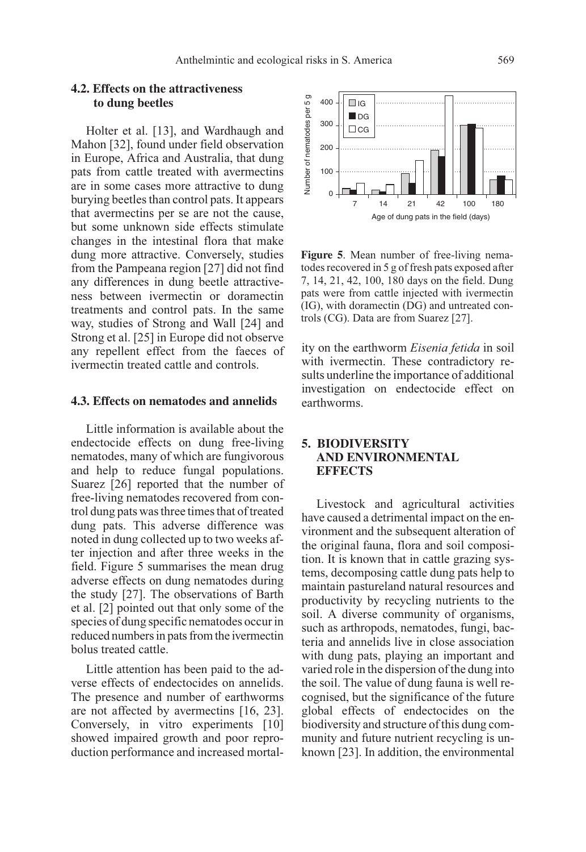# **4.2. Effects on the attractiveness to dung beetles**

Holter et al. [13], and Wardhaugh and Mahon [32], found under field observation in Europe, Africa and Australia, that dung pats from cattle treated with avermectins are in some cases more attractive to dung burying beetles than control pats. It appears that avermectins per se are not the cause, but some unknown side effects stimulate changes in the intestinal flora that make dung more attractive. Conversely, studies from the Pampeana region [27] did not find any differences in dung beetle attractiveness between ivermectin or doramectin treatments and control pats. In the same way, studies of Strong and Wall [24] and Strong et al. [25] in Europe did not observe any repellent effect from the faeces of ivermectin treated cattle and controls.

#### **4.3. Effects on nematodes and annelids**

Little information is available about the endectocide effects on dung free-living nematodes, many of which are fungivorous and help to reduce fungal populations. Suarez [26] reported that the number of free-living nematodes recovered from control dung pats was three times that of treated dung pats. This adverse difference was noted in dung collected up to two weeks after injection and after three weeks in the field. Figure 5 summarises the mean drug adverse effects on dung nematodes during the study [27]. The observations of Barth et al. [2] pointed out that only some of the species of dung specific nematodes occur in reduced numbers in pats from the ivermectin bolus treated cattle.

Little attention has been paid to the adverse effects of endectocides on annelids. The presence and number of earthworms are not affected by avermectins [16, 23]. Conversely, in vitro experiments [10] showed impaired growth and poor reproduction performance and increased mortal-



**Figure 5**. Mean number of free-living nematodes recovered in 5 g of fresh pats exposed after 7, 14, 21, 42, 100, 180 days on the field. Dung pats were from cattle injected with ivermectin (IG), with doramectin (DG) and untreated controls (CG). Data are from Suarez [27].

ity on the earthworm Eisenia fetida in soil with ivermectin. These contradictory results underline the importance of additional investigation on endectocide effect on earthworms.

# **5. BIODIVERSITY AND ENVIRONMENTAL EFFECTS**

Livestock and agricultural activities have caused a detrimental impact on the environment and the subsequent alteration of the original fauna, flora and soil composition. It is known that in cattle grazing systems, decomposing cattle dung pats help to maintain pastureland natural resources and productivity by recycling nutrients to the soil. A diverse community of organisms, such as arthropods, nematodes, fungi, bacteria and annelids live in close association with dung pats, playing an important and varied role in the dispersion of the dung into the soil. The value of dung fauna is well recognised, but the significance of the future global effects of endectocides on the biodiversity and structure of this dung community and future nutrient recycling is unknown [23]. In addition, the environmental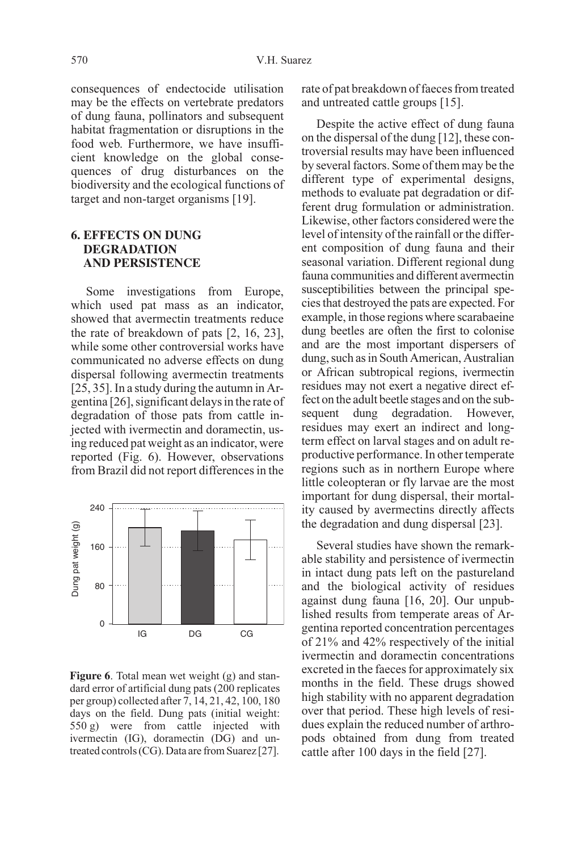consequences of endectocide utilisation may be the effects on vertebrate predators of dung fauna, pollinators and subsequent habitat fragmentation or disruptions in the food web. Furthermore, we have insufficient knowledge on the global consequences of drug disturbances on the biodiversity and the ecological functions of target and non-target organisms [19].

# **6. EFFECTS ON DUNG DEGRADATION AND PERSISTENCE**

Some investigations from Europe, which used pat mass as an indicator, showed that avermectin treatments reduce the rate of breakdown of pats [2, 16, 23], while some other controversial works have communicated no adverse effects on dung dispersal following avermectin treatments [25, 35]. In a study during the autumn in Argentina [26], significant delays in the rate of degradation of those pats from cattle injected with ivermectin and doramectin, using reduced pat weight as an indicator, were reported (Fig. 6). However, observations from Brazil did not report differences in the



**Figure 6**. Total mean wet weight (g) and standard error of artificial dung pats (200 replicates per group) collected after 7, 14, 21, 42, 100, 180 days on the field. Dung pats (initial weight: 550 g) were from cattle injected with ivermectin (IG), doramectin (DG) and untreated controls (CG). Data are from Suarez [27].

rate of pat breakdown of faeces from treated and untreated cattle groups [15].

Despite the active effect of dung fauna on the dispersal of the dung [12], these controversial results may have been influenced by several factors. Some of them may be the different type of experimental designs, methods to evaluate pat degradation or different drug formulation or administration. Likewise, other factors considered were the level of intensity of the rainfall or the different composition of dung fauna and their seasonal variation. Different regional dung fauna communities and different avermectin susceptibilities between the principal species that destroyed the pats are expected. For example, in those regions where scarabaeine dung beetles are often the first to colonise and are the most important dispersers of dung, such as in South American, Australian or African subtropical regions, ivermectin residues may not exert a negative direct effect on the adult beetle stages and on the sub-<br>sequent dung degradation. However, sequent dung degradation. However, residues may exert an indirect and longterm effect on larval stages and on adult reproductive performance. In other temperate regions such as in northern Europe where little coleopteran or fly larvae are the most important for dung dispersal, their mortality caused by avermectins directly affects the degradation and dung dispersal [23].

Several studies have shown the remarkable stability and persistence of ivermectin in intact dung pats left on the pastureland and the biological activity of residues against dung fauna [16, 20]. Our unpublished results from temperate areas of Argentina reported concentration percentages of 21% and 42% respectively of the initial ivermectin and doramectin concentrations excreted in the faeces for approximately six months in the field. These drugs showed high stability with no apparent degradation over that period. These high levels of residues explain the reduced number of arthropods obtained from dung from treated cattle after 100 days in the field [27].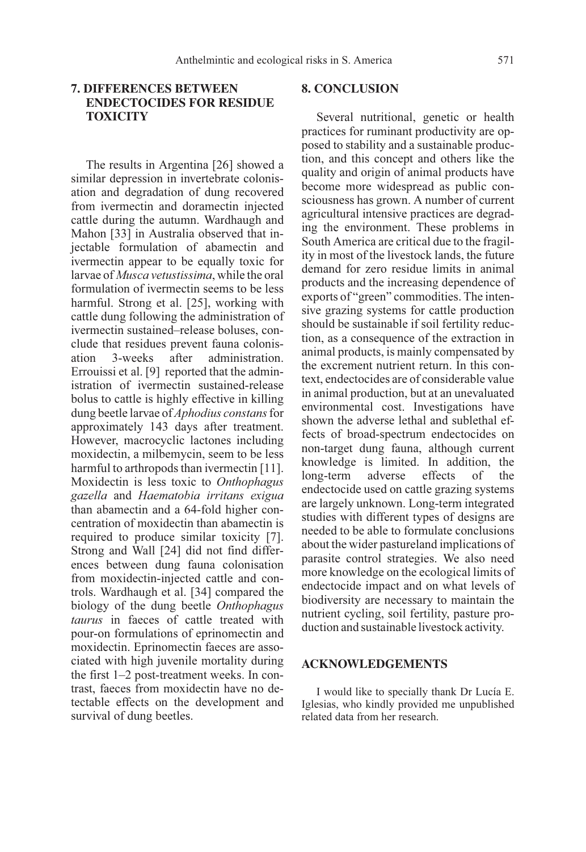# **7. DIFFERENCES BETWEEN ENDECTOCIDES FOR RESIDUE TOXICITY**

The results in Argentina [26] showed a similar depression in invertebrate colonisation and degradation of dung recovered from ivermectin and doramectin injected cattle during the autumn. Wardhaugh and Mahon [33] in Australia observed that injectable formulation of abamectin and ivermectin appear to be equally toxic for larvae of Musca vetustissima, while the oral formulation of ivermectin seems to be less harmful. Strong et al. [25], working with cattle dung following the administration of ivermectin sustained–release boluses, conclude that residues prevent fauna colonisation 3-weeks after administration. Errouissi et al. [9] reported that the administration of ivermectin sustained-release bolus to cattle is highly effective in killing dung beetle larvae of *Aphodius constans* for approximately 143 days after treatment. However, macrocyclic lactones including moxidectin, a milbemycin, seem to be less harmful to arthropods than ivermectin [11]. Moxidectin is less toxic to Onthophagus gazella and Haematobia irritans exigua than abamectin and a 64-fold higher concentration of moxidectin than abamectin is required to produce similar toxicity [7]. Strong and Wall [24] did not find differences between dung fauna colonisation from moxidectin-injected cattle and controls. Wardhaugh et al. [34] compared the biology of the dung beetle Onthophagus taurus in faeces of cattle treated with pour-on formulations of eprinomectin and moxidectin. Eprinomectin faeces are associated with high juvenile mortality during the first 1–2 post-treatment weeks. In contrast, faeces from moxidectin have no detectable effects on the development and survival of dung beetles.

## **8. CONCLUSION**

Several nutritional, genetic or health practices for ruminant productivity are opposed to stability and a sustainable production, and this concept and others like the quality and origin of animal products have become more widespread as public consciousness has grown. A number of current agricultural intensive practices are degrading the environment. These problems in South America are critical due to the fragility in most of the livestock lands, the future demand for zero residue limits in animal products and the increasing dependence of exports of "green" commodities. The intensive grazing systems for cattle production should be sustainable if soil fertility reduction, as a consequence of the extraction in animal products, is mainly compensated by the excrement nutrient return. In this context, endectocides are of considerable value in animal production, but at an unevaluated environmental cost. Investigations have shown the adverse lethal and sublethal effects of broad-spectrum endectocides on non-target dung fauna, although current knowledge is limited. In addition, the long-term adverse effects of the endectocide used on cattle grazing systems are largely unknown. Long-term integrated studies with different types of designs are needed to be able to formulate conclusions about the wider pastureland implications of parasite control strategies. We also need more knowledge on the ecological limits of endectocide impact and on what levels of biodiversity are necessary to maintain the nutrient cycling, soil fertility, pasture production and sustainable livestock activity.

#### **ACKNOWLEDGEMENTS**

I would like to specially thank Dr Lucía E. Iglesias, who kindly provided me unpublished related data from her research.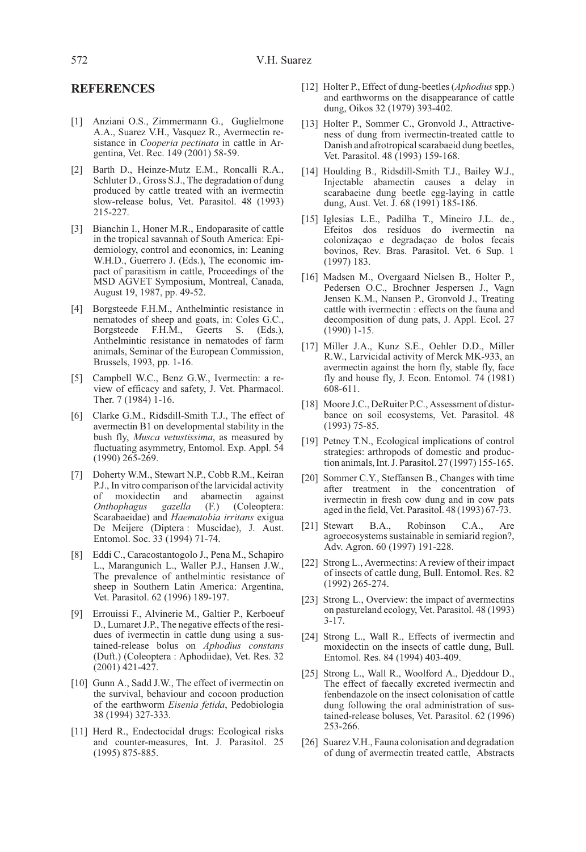# **REFERENCES**

- [1] Anziani O.S., Zimmermann G., Guglielmone A.A., Suarez V.H., Vasquez R., Avermectin resistance in Cooperia pectinata in cattle in Argentina, Vet. Rec. 149 (2001) 58-59.
- [2] Barth D., Heinze-Mutz E.M., Roncalli R.A., Schluter D., Gross S.J., The degradation of dung produced by cattle treated with an ivermectin slow-release bolus, Vet. Parasitol. 48 (1993) 215-227.
- [3] Bianchin I., Honer M.R., Endoparasite of cattle in the tropical savannah of South America: Epidemiology, control and economics, in: Leaning W.H.D., Guerrero J. (Eds.), The economic impact of parasitism in cattle, Proceedings of the MSD AGVET Symposium, Montreal, Canada, August 19, 1987, pp. 49-52.
- [4] Borgsteede F.H.M., Anthelmintic resistance in nematodes of sheep and goats, in: Coles G.C., Borgsteede F.H.M., Geerts S. (Eds.), Anthelmintic resistance in nematodes of farm animals, Seminar of the European Commission, Brussels, 1993, pp. 1-16.
- [5] Campbell W.C., Benz G.W., Ivermectin: a review of efficacy and safety, J. Vet. Pharmacol. Ther. 7 (1984) 1-16.
- [6] Clarke G.M., Ridsdill-Smith T.J., The effect of avermectin B1 on developmental stability in the bush fly, Musca vetustissima, as measured by fluctuating asymmetry, Entomol. Exp. Appl. 54 (1990) 265-269.
- [7] Doherty W.M., Stewart N.P., Cobb R.M., Keiran P.J., In vitro comparison of the larvicidal activity of moxidectin and abamectin against<br>
Onthophagus gazella (F.) (Coleoptera: (Coleoptera: Scarabaeidae) and Haematobia irritans exigua De Meijere (Diptera : Muscidae), J. Aust. Entomol. Soc. 33 (1994) 71-74.
- [8] Eddi C., Caracostantogolo J., Pena M., Schapiro L., Marangunich L., Waller P.J., Hansen J.W., The prevalence of anthelmintic resistance of sheep in Southern Latin America: Argentina, Vet. Parasitol. 62 (1996) 189-197.
- [9] Errouissi F., Alvinerie M., Galtier P., Kerboeuf D., Lumaret J.P., The negative effects of the residues of ivermectin in cattle dung using a sustained-release bolus on Aphodius constans (Duft.) (Coleoptera : Aphodiidae), Vet. Res. 32 (2001) 421-427.
- [10] Gunn A., Sadd J.W., The effect of ivermectin on the survival, behaviour and cocoon production of the earthworm Eisenia fetida, Pedobiologia 38 (1994) 327-333.
- [11] Herd R., Endectocidal drugs: Ecological risks and counter-measures, Int. J. Parasitol. 25 (1995) 875-885.
- [12] Holter P., Effect of dung-beetles (Aphodius spp.) and earthworms on the disappearance of cattle dung, Oikos 32 (1979) 393-402.
- [13] Holter P., Sommer C., Gronvold J., Attractiveness of dung from ivermectin-treated cattle to Danish and afrotropical scarabaeid dung beetles, Vet. Parasitol. 48 (1993) 159-168.
- [14] Houlding B., Ridsdill-Smith T.J., Bailey W.J., Injectable abamectin causes a delay in scarabaeine dung beetle egg-laying in cattle dung, Aust. Vet. J. 68 (1991) 185-186.
- [15] Iglesias L.E., Padilha T., Mineiro J.L. de., Efeitos dos resíduos do ivermectin na colonizaçao e degradaçao de bolos fecais bovinos, Rev. Bras. Parasitol. Vet. 6 Sup. 1 (1997) 183.
- [16] Madsen M., Overgaard Nielsen B., Holter P., Pedersen O.C., Brochner Jespersen J., Vagn Jensen K.M., Nansen P., Gronvold J., Treating cattle with ivermectin : effects on the fauna and decomposition of dung pats, J. Appl. Ecol. 27  $(1990)$  1-15.
- [17] Miller J.A., Kunz S.E., Oehler D.D., Miller R.W., Larvicidal activity of Merck MK-933, an avermectin against the horn fly, stable fly, face fly and house fly, J. Econ. Entomol. 74 (1981) 608-611.
- [18] Moore J.C., DeRuiter P.C., Assessment of disturbance on soil ecosystems, Vet. Parasitol. 48 (1993) 75-85.
- [19] Petney T.N., Ecological implications of control strategies: arthropods of domestic and production animals, Int. J. Parasitol. 27 (1997) 155-165.
- [20] Sommer C.Y., Steffansen B., Changes with time after treatment in the concentration of ivermectin in fresh cow dung and in cow pats aged in the field, Vet. Parasitol. 48 (1993) 67-73.
- [21] Stewart B.A., Robinson C.A., Are agroecosystems sustainable in semiarid region?, Adv. Agron. 60 (1997) 191-228.
- [22] Strong L., Avermectins: A review of their impact of insects of cattle dung, Bull. Entomol. Res. 82 (1992) 265-274.
- [23] Strong L., Overview: the impact of avermectins on pastureland ecology, Vet. Parasitol. 48 (1993)  $3 - 17$ .
- [24] Strong L., Wall R., Effects of ivermectin and moxidectin on the insects of cattle dung, Bull. Entomol. Res. 84 (1994) 403-409.
- [25] Strong L., Wall R., Woolford A., Djeddour D., The effect of faecally excreted ivermectin and fenbendazole on the insect colonisation of cattle dung following the oral administration of sustained-release boluses, Vet. Parasitol. 62 (1996) 253-266.
- [26] Suarez V.H., Fauna colonisation and degradation of dung of avermectin treated cattle, Abstracts